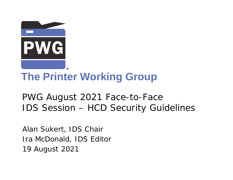

# **The Printer Working Group**

PWG August 2021 Face-to-Face IDS Session – HCD Security Guidelines

Alan Sukert, IDS Chair Ira McDonald, IDS Editor 19 August 2021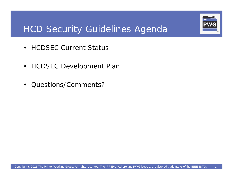

## HCD Security Guidelines Agenda

- HCDSEC Current Status
- HCDSEC Development Plan
- Questions/Comments?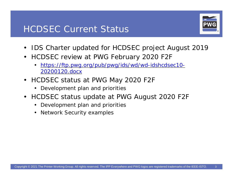#### HCDSEC Current Status



- IDS Charter updated for HCDSEC project August 2019
- HCDSEC review at PWG February 2020 F2F
	- <https://ftp.pwg.org/pub/pwg/ids/wd/wd-idshcdsec10-> 20200120.docx
- HCDSEC status at PWG May 2020 F2F
	- Development plan and priorities
- HCDSEC status update at PWG August 2020 F2F
	- Development plan and priorities
	- Network Security examples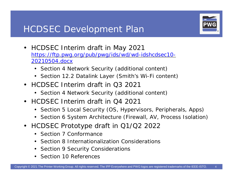### HCDSEC Development Plan



- HCDSEC Interim draft in May 2021 <https://ftp.pwg.org/pub/pwg/ids/wd/wd-idshcdsec10-> 20210504.docx
	- Section 4 Network Security (additional content)
	- Section 12.2 Datalink Layer (Smith's Wi-Fi content)
- HCDSEC Interim draft in O3 2021
	- Section 4 Network Security (additional content)
- HCDSEC Interim draft in Q4 2021
	- Section 5 Local Security (OS, Hypervisors, Peripherals, Apps)
	- Section 6 System Architecture (Firewall, AV, Process Isolation)
- HCDSEC Prototype draft in Q1/Q2 2022
	- Section 7 Conformance
	- Section 8 Internationalization Considerations
	- Section 9 Security Considerations
	- Section 10 References